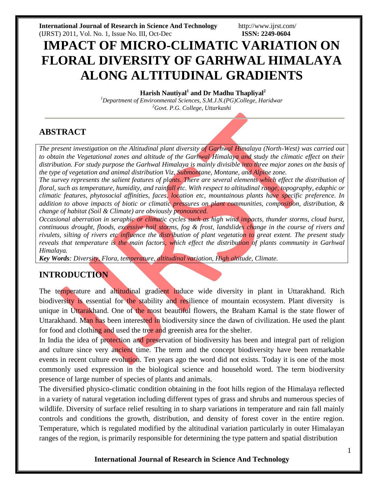**International Journal of Research in Science And Technology** <http://www.ijrst.com/> (IJRST) 2011, Vol. No. 1, Issue No. III, Oct-Dec **ISSN: 2249-0604**

# **IMPACT OF MICRO-CLIMATIC VARIATION ON FLORAL DIVERSITY OF GARHWAL HIMALAYA ALONG ALTITUDINAL GRADIENTS**

**Harish Nautiyal<sup>1</sup> and Dr Madhu Thapliyal<sup>2</sup>**

*<sup>1</sup>Department of Environmental Sciences, S.M.J.N.(PG)College, Haridwar <sup>2</sup>Govt. P.G. College, Uttarkash[i](mailto:harishntl629@gmail.com)*

## **ABSTRACT**

*The present investigation on the Altitudinal plant diversity of Garhwal Himalaya (North-West) was carried out to obtain the Vegetational zones and altitude of the Garhwal Himalaya and study the climatic effect on their distribution. For study purpose the Garhwal Himalaya is mainly divisible into three major zones on the basis of the type of vegetation and animal distribution Viz, Submontane, Montane, and Alpine zone.*

*The survey represents the salient features of plants. There are several elements which effect the distribution of floral, such as temperature, humidity, and rainfall etc. With respect to altitudinal range, topography, edaphic or climatic features, phytosocial affinities, faces, location etc, mountainous plants have specific preference. In addition to above impacts of biotic or climatic pressures on plant communities, composition, distribution, & change of habitat (Soil & Climate) are obviously pronounced.*

*Occasional aberration in seraphic or climatic cycles such as high wind impacts, thunder storms, cloud burst, continuous drought, floods, excessive hail storms, fog & frost, landslides change in the course of rivers and rivulets, silting of rivers etc influence the distribution of plant vegetation to great extent. The present study reveals that temperature is the main factors, which effect the distribution of plants community in Garhwal Himalaya.*

*Key Words: Diversity, Flora, temperature, altitudinal variation, High altitude, Climate.*

## **INTRODUCTION**

The temperature and altitudinal gradient induce wide diversity in plant in Uttarakhand. Rich biodiversity is essential for the stability and resilience of mountain ecosystem. Plant diversity is unique in Uttarakhand. One of the most beautiful flowers, the Braham Kamal is the state flower of Uttarakhand. Man has been interested in biodiversity since the dawn of civilization. He used the plant for food and clothing and used the tree and greenish area for the shelter.

In India the idea of protection and preservation of biodiversity has been and integral part of religion and culture since very ancient time. The term and the concept biodiversity have been remarkable events in recent culture evolution. Ten years ago the word did not exists. Today it is one of the most commonly used expression in the biological science and household word. The term biodiversity presence of large number of species of plants and animals.

The diversified physico-climatic condition obtaining in the foot hills region of the Himalaya reflected in a variety of natural vegetation including different types of grass and shrubs and numerous species of wildlife. Diversity of surface relief resulting in to sharp variations in temperature and rain fall mainly controls and conditions the growth, distribution, and density of forest cover in the entire region. Temperature, which is regulated modified by the altitudinal variation particularly in outer Himalayan ranges of the region, is primarily responsible for determining the type pattern and spatial distribution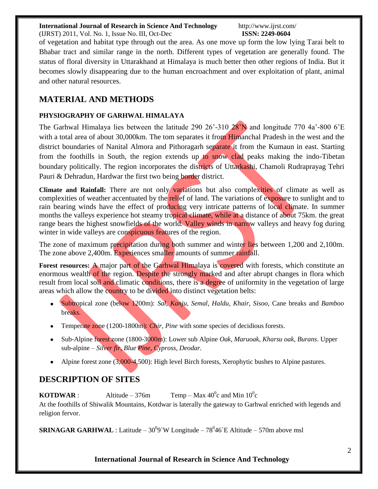(IJRST) 2011, Vol. No. 1, Issue No. III, Oct-Dec **ISSN: 2249-0604**

of vegetation and habitat type through out the area. As one move up form the low lying Tarai belt to Bhabar tract and similar range in the north. Different types of vegetation are generally found. The status of floral diversity in Uttarakhand at Himalaya is much better then other regions of India. But it becomes slowly disappearing due to the human encroachment and over exploitation of plant, animal and other natural resources.

## **MATERIAL AND METHODS**

### **PHYSIOGRAPHY OF GARHWAL HIMALAYA**

The Garhwal Himalaya lies between the latitude 290  $26'$ -310  $28'N$  and longitude 770  $4a'$ -800  $6'E$ with a total area of about 30,000km. The tom separates it from Himanchal Pradesh in the west and the district boundaries of Nanital Almora and Pithoragarh separate it from the Kumaun in east. Starting from the foothills in South, the region extends up to snow clad peaks making the indo-Tibetan boundary politically. The region incorporates the districts of Uttarkashi, Chamoli Rudraprayag Tehri Pauri & Dehradun, Hardwar the first two being border district.

**Climate and Rainfall:** There are not only variations but also complexities of climate as well as complexities of weather accentuated by the relief of land. The variations of exposure to sunlight and to rain bearing winds have the effect of producing very intricate patterns of local climate. In summer months the valleys experience hot steamy tropical climate, while at a distance of about 75km. the great range bears the highest snowfields of the world. Valley winds in narrow valleys and heavy fog during winter in wide valleys are conspicuous features of the region.

The zone of maximum precipitation during both summer and winter lies between 1,200 and 2,100m. The zone above 2,400m. Experiences smaller amounts of summer rainfall.

Forest resources: A major part of the Garhwal Himalaya is covered with forests, which constitute an enormous wealth of the region. Despite the strongly marked and after abrupt changes in flora which result from local soil and climatic conditions, there is a degree of uniformity in the vegetation of large areas which allow the country to be divided into distinct vegetation belts:

- Subtropical zone (below 1200m): *Sal, Kanju, Semal, Haldu, Khair, Sisoo,* Cane breaks and *Bamboo* breaks.
- Temperate zone (1200-1800m): *Chir, Pine* with some species of decidious forests.
- Sub-Alpine forest zone (1800-3000m): Lower sub Alpine *Oak, Maruoak, Kharsu oak, Burans*. Upper sub-alpine – *Silver fir, Blue Pine, Cypross, Deodar.*
- Alpine forest zone (3,000-4,500): High level Birch forests, Xerophytic bushes to Alpine pastures.

## **DESCRIPTION OF SITES**

**KOTDWAR** : Altitude – 376m Temp – Max 40<sup>0</sup> c and Min 10<sup>0</sup> c At the foothills of Shiwalik Mountains, Kotdwar is laterally the gateway to Garhwal enriched with legends and religion fervor.

**SRINAGAR GARHWAL** : Latitude  $-30^0$ 9`W Longitude  $-78^0$ 46`E Altitude  $-570$ m above msl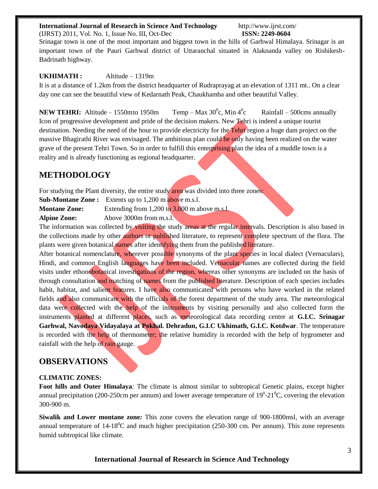(IJRST) 2011, Vol. No. 1, Issue No. III, Oct-Dec **ISSN: 2249-0604**

Srinagar town is one of the most important and biggest town in the hills of Garhwal Himalaya. Srinagar is an important town of the Pauri Garhwal district of Uttaranchal situated in Alaknanda valley on Rishikesh-Badrinath highway.

#### **UKHIMATH :** Altitude – 1319m

It is at a distance of 1.2km from the district headquarter of Rudraprayag at an elevation of 1311 mt.. On a clear day one can see the beautiful view of Kedarnath Peak, Chaukhamba and other beautiful Valley.

**NEW TEHRI:** Altitude – 1550mto 1950m c, Min  $4^0$ Rainfall –  $500 \text{cms}$  annually Icon of progressive development and pride of the decision makers. New Tehri is indeed a unique tourist destination. Needing the need of the hour to provide electricity for the Tehri region a huge dam project on the massive Bhagirathi River was envisaged. The ambitious plan could be only having been realized on the water grave of the present Tehri Town. So in order to fulfill this enterprising plan the idea of a muddle town is a reality and is already functioning as regional headquarter.

### **METHODOLOGY**

For studying the Plant diversity, the entire study area was divided into three zones: **Sub-Montane Zone :** Extents up to 1,200 m above m.s.l.

**Montane Zone:** Extending from 1,200 to 3,000 m above m.s.l. **Alpine Zone:** Above 3000m from m.s.l.

The information was collected by visiting the study areas at the regular intervals. Description is also based in the collections made by other authors or published literature, to represent complete spectrum of the flora. The plants were given botanical names after identifying them from the published literature.

After botanical nomenclature, wherever possible synonyms of the plant species in local dialect (Vernaculars), Hindi, and common English languages have been included. Vernacular names are collected during the field visits under ethonobotanical investigations of the region, whereas other synonyms are included on the basis of through consultation and matching of names from the published literature. Description of each species includes habit, habitat, and salient features. I have also communicated with persons who have worked in the related fields and also communicate with the officials of the forest department of the study area. The meteorological data were collected with the help of the instruments by visiting personally and also collected form the instruments planted at different places, such as meteorological data recording centre at **G.I.C. Srinagar Garhwal, Navodaya Vidayalaya at Pokhal. Dehradun, G.I.C Ukhimath, G.I.C. Kotdwar**. The temperature is recorded with the help of thermometer; the relative humidity is recorded with the help of hygrometer and rainfall with the help of rain gauge.

### **OBSERVATIONS**

#### **CLIMATIC ZONES:**

**Foot hills and Outer Himalaya***:* The climate is almost similar to subtropical Genetic plains, except higher annual precipitation (200-250cm per annum) and lower average temperature of  $19^0$ -21 $^0$ C, covering the elevation 300-900 m.

**Siwalik and Lower montane zone***:* This zone covers the elevation range of 900-1800msl, with an average annual temperature of  $14{\text{-}18}^{\text{o}}$ C and much higher precipitation (250-300 cm. Per annum). This zone represents humid subtropical like climate.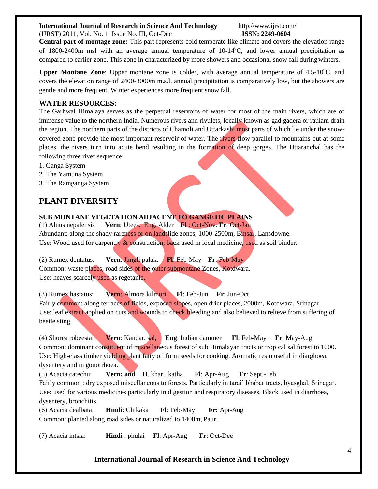(IJRST) 2011, Vol. No. 1, Issue No. III, Oct-Dec **ISSN: 2249-0604**

**Central part of montage zone***:* This part represents cold temperate like climate and covers the elevation range of 1800-2400m msl with an average annual temperature of  $10-14\degree C$ , and lower annual precipitation as compared to earlier zone. This zone in characterized by more showers and occasional snow fall duringwinters.

**Upper Montane Zone**: Upper montane zone is colder, with average annual temperature of  $4.5{\text -}10^{\circ}\text{C}$ , and covers the elevation range of 2400-3000m m.s.l. annual precipitation is comparatively low, but the showers are gentle and more frequent. Winter experiences more frequent snow fall.

#### **WATER RESOURCES:**

The Garhwal Himalaya serves as the perpetual reservoirs of water for most of the main rivers, which are of immense value to the northern India. Numerous rivers and rivulets, locally known as gad gadera or raulam drain the region. The northern parts of the districts of Chamoli and Uttarkashi most parts of which lie under the snowcovered zone provide the most important reservoir of water. The rivers flow parallel to mountains but at some places, the rivers turn into acute bend resulting in the formation of deep gorges. The Uttaranchal has the following three river sequence:

- 1. Ganga System
- 2. The Yamuna System
- 3. The Ramganga System

## **PLANT DIVERSITY**

**SUB MONTANE VEGETATION ADJACENT TO GANGETIC PLAINS** (1) Alnus nepalensis **Vern**: Utees, Eng. Alder **Fl** : Oct-Nov. **Fr**: Oct-Jan Abundant: along the shady rareness or on landslide zones, 1000-2500m, Binsar, Lansdowne. Use: Wood used for carpentry & construction, back used in local medicine, used as soil binder.

(2) Rumex dentatus: **Vern**: Jangli palak**. Fl**: Feb-May **Fr**: Feb-May Common: waste places, road sides of the outer submontane Zones, Kotdwara. Use: heaves scarcely used as regetanle.

(3) Rumex hastatus: **Vern**: Almora kilmori **Fl**: Feb-Jun **Fr**: Jun-Oct Fairly common: along terraces of fields, exposed slopes, open drier places, 2000m, Kotdwara, Srinagar. Use: leaf extract applied on cuts and wounds to check bleeding and also believed to relieve from suffering of beetle sting.

(4) Shorea robeesta: **Vern**: Kandar, sal**, Eng**: Indian dammer **Fl**: Feb-May **Fr**: May-Aug. Common: dominant constituent of miscellaneous forest of sub Himalayan tracts or tropical sal forest to 1000. Use: High-class timber yielding plant fatty oil form seeds for cooking. Aromatic resin useful in diarghoea, dysentery and in gonorrhoea.

(5) Acacia catechu: **Vern: and H**. khari, katha **Fl**: Apr-Aug **Fr**: Sept.-Feb Fairly common : dry exposed miscellaneous to forests, Particularly in tarai' bhabar tracts, byasghal, Srinagar. Use: used for various medicines particularly in digestion and respiratory diseases. Black used in diarrhoea, dysentery, bronchitis.

(6) Acacia dealbata: **Hindi**: Chikaka **Fl**: Feb-May **Fr:** Apr-Aug Common: planted along road sides or naturalized to 1400m, Pauri

(7) Acacia intsia: **Hindi** : phulai **Fl**: Apr-Aug **Fr**: Oct-Dec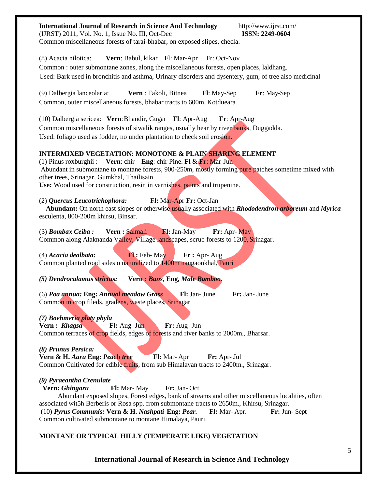| <b>International Journal of Research in Science And Technology</b><br>http://www.ijrst.com/<br>(IJRST) 2011, Vol. No. 1, Issue No. III, Oct-Dec<br><b>ISSN: 2249-0604</b><br>Common miscellaneous forests of tarai-bhabar, on exposed slipes, checla.                                                                                                                                                                               |
|-------------------------------------------------------------------------------------------------------------------------------------------------------------------------------------------------------------------------------------------------------------------------------------------------------------------------------------------------------------------------------------------------------------------------------------|
| (8) Acacia nilotica:<br>Vern: Babul, kikar Fl: Mar-Apr Fr: Oct-Nov<br>Common : outer submontane zones, along the miscellaneous forests, open places, laldhang.<br>Used: Bark used in bronchitis and asthma, Urinary disorders and dysentery, gum, of tree also medicinal                                                                                                                                                            |
| Vern: Takoli, Bitnea<br>(9) Dalbergia lanceolaria:<br>Fl: May-Sep<br>Fr: May-Sep<br>Common, outer miscellaneous forests, bhabar tracts to 600m, Kotdueara                                                                                                                                                                                                                                                                           |
| (10) Dalbergia sericea: Vern: Bhandir, Gugar Fl: Apr-Aug<br>Fr: Apr-Aug<br>Common miscellaneous forests of siwalik ranges, usually hear by river banks, Duggadda.<br>Used: foliago used as fodder, no under plantation to check soil erosion.                                                                                                                                                                                       |
| <b>INTERMIXED VEGETATION: MONOTONE &amp; PLAIN SHARING ELEMENT</b><br>(1) Pinus roxburghii: Vern: chir Eng: chir Pine. Fl & Fr: Mar-Jun<br>Abundant in submontane to montane forests, 900-250m, mostly forming pure patches sometime mixed with<br>other trees, Srinagar, Gumkhal, Thailisain.<br>Use: Wood used for construction, resin in varnishes, paints and trupenine.                                                        |
| Fl: Mar-Apr Fr: Oct-Jan<br>(2) Quercus Leucotrichophora:<br>Abundant: On north east slopes or otherwise usually associated with Rhododendron arboreum and Myrica<br>esculenta, 800-200m khirsu, Binsar.                                                                                                                                                                                                                             |
| Fl: Jan-May<br>Vern : Salmali<br>Fr: Apr-May<br>$(3)$ Bombax Ceiba:<br>Common along Alaknanda Valley, Village landscapes, scrub forests to 1200, Srinagar.                                                                                                                                                                                                                                                                          |
| (4) Acacia dealbata:<br>Fl: Feb-May<br>$\mathbf{Fr}: \text{Apr-}\text{Aug}$<br>Common planted road sides o naturalized to 1400m naugaonkhal, Pauri                                                                                                                                                                                                                                                                                  |
| (5) Dendrocalamus strictus:<br>Vern: Bans, Eng, Male Bamboo.                                                                                                                                                                                                                                                                                                                                                                        |
| (6) Poa annua: Eng: Annual meadow Grass<br>Fl: Jan- June<br>Fr: Jan- June<br>Common in crop fileds, gradens, waste places, Srinagar                                                                                                                                                                                                                                                                                                 |
| (7) Boehmeria platy phyla<br>Vern: Khagsa<br>Fl: Aug- Jun<br>Fr: Aug- Jun<br>Common terraces of crop fields, edges of forests and river banks to 2000m., Bharsar.                                                                                                                                                                                                                                                                   |
| (8) Prunus Persica:<br>Vern & H. Aaru Eng: Peach tree<br>Fl: Mar-Apr<br>Fr: Apr- Jul<br>Common Cultivated for edible fruits, from sub Himalayan tracts to 2400m., Srinagar.                                                                                                                                                                                                                                                         |
| (9) Pyraeantha Crenulate<br>Vern: Ghingaru<br>Fl: Mar-May<br>Fr: Jan-Oct<br>Abundant exposed slopes, Forest edges, bank of streams and other miscellaneous localities, often<br>associated wit5h Berberis or Rosa spp. from submontane tracts to 2650m., Khirsu, Srinagar.<br>(10) Pyrus Communis: Vern & H. Nashpati Eng: Pear.<br>Fr: Jun-Sept<br><b>Fl:</b> Mar-Apr.<br>Common cultivated submontane to montane Himalaya, Pauri. |
| MONTANE OR TYPICAL HILLY (TEMPERATE LIKE) VEGETATION                                                                                                                                                                                                                                                                                                                                                                                |
|                                                                                                                                                                                                                                                                                                                                                                                                                                     |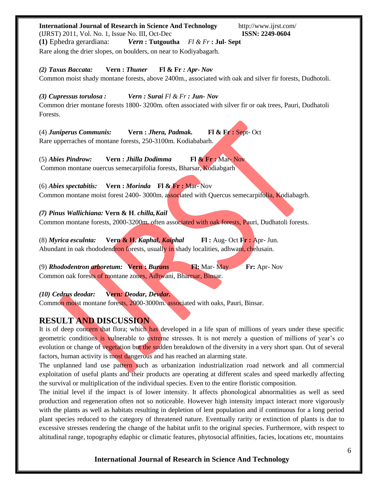| <b>International Journal of Research in Science And Technology</b><br>http://www.ijrst.com/<br>(IJRST) 2011, Vol. No. 1, Issue No. III, Oct-Dec<br><b>ISSN: 2249-0604</b><br>(1) Ephedra gerardiana:<br><i>Vern</i> : Tutgoutha $Fl & Fr$ : Jul-Sept<br>Rare along the drier slopes, on boulders, on near to Kodiyabagarh.                                                         |
|------------------------------------------------------------------------------------------------------------------------------------------------------------------------------------------------------------------------------------------------------------------------------------------------------------------------------------------------------------------------------------|
| Vern: Thuner<br>(2) Taxus Baccata:<br>F1 & F1 : Apr. Nov<br>Common moist shady montane forests, above 2400m., associated with oak and silver fir forests, Dudhotoli.                                                                                                                                                                                                               |
| Vern: Surai Fl & Fr : Jun- Nov<br>(3) Cupressus torulosa :<br>Common drier montane forests 1800-3200m. often associated with silver fir or oak trees, Pauri, Dudhatoli<br>Forests.                                                                                                                                                                                                 |
| $\mathbf{F} \mathbf{l} \& \mathbf{F} \mathbf{r}$ : Sept-Oct<br>(4) Juniperus Communis:<br>Vern: Jhera, Padmak.<br>Rare upperraches of montane forests, 250-3100m. Kodiababarh.                                                                                                                                                                                                     |
| Vern : Jhilla Dodimma<br>$\mathbf{F1} \& \mathbf{Fr} : \text{Mar-Nov}$<br>$(5)$ Abies Pindrow:<br>Common montane ouercus semecarpifolia forests, Bharsar, Kodiabgarh                                                                                                                                                                                                               |
| Vern: <i>Morinda</i> Fl & Fr: Mar-Nov<br>$(6)$ Abies spectabitis:<br>Common montane moist forest 2400-3000m. associated with Quercus semecarpifolia, Kodiabagrh.                                                                                                                                                                                                                   |
| (7) Pinus Wallichiana: Vern & H. chilla, Kail<br>Common montane forests, 2000-3200m, often associated with oak forests, Pauri, Dudhatoli forests.                                                                                                                                                                                                                                  |
| Vern & H. Kaphal, Kaiphal<br>$\mathbf{F}$ : Aug- Oct $\mathbf{F}$ : Apr- Jun.<br>$(8)$ Myrica esculnta:<br>Abundant in oak rhododendron forests, usually in shady localities, adhwani, chelusain.                                                                                                                                                                                  |
| (9) Rhododentron arboretum: Vern: Burans<br><b>Fl:</b> Mar- May<br>Fr: Apr-Nov<br>Common oak forests of montane zones, Adhwani, Bharrsar, Binsar.                                                                                                                                                                                                                                  |
| Vern: Deodar, Devdar.<br>$(10)$ Cedrus deodar:<br>Common moist montane forests, 2000-3000m. associated with oaks, Pauri, Binsar.                                                                                                                                                                                                                                                   |
| <b>RESULT AND DISCUSSION</b><br>It is of deep concern that flora; which has developed in a life span of millions of years under these specific<br>geometric conditions is vulnerable to extreme stresses. It is not merely a question of millions of year's co<br>evolution or change of vegetation but the sudden breakdown of the diversity in a very short span. Out of several |

factors, human activity is most dangerous and has reached an alarming state. The unplanned land use pattern such as urbanization industrialization road network and all commercial exploitation of useful plants and their products are operating at different scales and speed markedly affecting the survival or multiplication of the individual species. Even to the entire floristic composition.

The initial level if the impact is of lower intensity. It affects phonological abnormalities as well as seed production and regeneration often not so noticeable. However high intensity impact interact more vigorously with the plants as well as habitats resulting in depletion of lent population and if continuous for a long period plant species reduced to the category of threatened nature. Eventually rarity or extinction of plants is due to excessive stresses rendering the change of the habitat unfit to the original species. Furthermore, with respect to altitudinal range, topography edaphic or climatic features, phytosocial affinities, facies, locations etc, mountains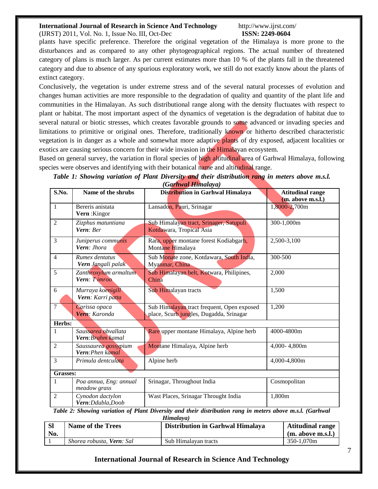(IJRST) 2011, Vol. No. 1, Issue No. III, Oct-Dec **ISSN: 2249-0604**

plants have specific preference. Therefore the original vegetation of the Himalaya is more prone to the disturbances and as compared to any other phytogeographical regions. The actual number of threatened category of plans is much larger. As per current estimates more than 10 % of the plants fall in the threatened category and due to absence of any spurious exploratory work, we still do not exactly know about the plants of extinct category.

Conclusively, the vegetation is under extreme stress and of the several natural processes of evolution and changes human activities are more responsible to the degradation of quality and quantity of the plant life and communities in the Himalayan. As such distributional range along with the density fluctuates with respect to plant or habitat. The most important aspect of the dynamics of vegetation is the degradation of habitat due to several natural or biotic stresses, which creates favorable grounds to some advanced or invading species and limitations to primitive or original ones. Therefore, traditionally known or hitherto described characteristic vegetation is in danger as a whole and somewhat more adaptive plants of dry exposed, adjacent localities or exotics are causing serious concern for their wide invasion in the Himalayan ecosystem.

Based on general survey, the variation in floral species of high altitudinal area of Garhwal Himalaya, following species were observes and identifying with their botanical name and altitudinal range.

|                |                        | $\sqrt{u}$ kwai Hundaya)                   |                                         |
|----------------|------------------------|--------------------------------------------|-----------------------------------------|
| S.No.          | Name of the shrubs     | Distribution in Garhwal Himalaya           | <b>Atitudinal range</b>                 |
|                |                        |                                            | (m. above m.s.l.)                       |
| $\mathbf{1}$   | Bereris anistata       | Lansadon, Pauri, Srinagar                  | 1,8000-2,700m                           |
|                | Vern: Kingor           |                                            |                                         |
|                |                        |                                            |                                         |
| $\overline{2}$ | Zizphus matuntiana     | Sub Himalayan tract, Srinager, Satupuli    | 300-1,000m                              |
|                | Vern: Ber              | Kotdawara, Tropical Asia                   |                                         |
| 3              | Juniperus communis     | Rara, upper montane forest Kodiabgarh,     | 2,500-3,100                             |
|                | Vern: Jhora            | Montane Himalaya                           |                                         |
|                |                        |                                            |                                         |
| $\overline{4}$ | Rumex dentatus         | Sub Monate zone, Kotdawara, South India,   | 300-500                                 |
|                | Vern Jangali palak     | Myanmar, China                             |                                         |
| 5              | Zanthroxylum armaltum  | Sub Himalayan belt, Kotwara, Philipines,   | 2,000                                   |
|                | Vern: Timroo           | China                                      |                                         |
|                |                        |                                            |                                         |
| 6              | Murraya koenigill      | Sub Himalayan tracts                       | 1,500                                   |
|                | Vern: Karri patta      |                                            |                                         |
| 7              |                        |                                            |                                         |
|                | Carissa opaca          | Sub Himalayan tract frequent, Open exposed | 1,200                                   |
|                | Vern: Karonda          | place, Scurb jungles, Dugadda, Srinagar    |                                         |
| Herbs:         |                        |                                            |                                         |
| 1              | Saussarea obvallata    | Rare upper montane Himalaya, Alpine herb   | 4000-4800m                              |
|                | Vern: Brahm kamal      |                                            |                                         |
| $\overline{2}$ | Saussaurea gossypium   | Montane Himalaya, Alpine herb              | 4,000-4,800m                            |
|                | Vern: Phen kamal       |                                            |                                         |
| 3              |                        |                                            |                                         |
|                | Primula dentculata     | Alpine herb                                | 4,000-4,800m                            |
| Grasses:       |                        |                                            |                                         |
|                |                        |                                            |                                         |
| 1              | Poa annua, Eng: annual | Srinagar, Throughout India                 | Cosmopolitan                            |
|                | meadow grass           |                                            |                                         |
| $\overline{2}$ | Cynodon dactylon       | Wast Places, Srinagar Throught India       | 1,800m                                  |
|                | Vern: Ddubla, Doob     |                                            |                                         |
|                |                        | $\bullet$                                  | $1/\alpha$ , $1/\alpha$<br>$\mathbf{L}$ |

*Table 1: Showing variation of Plant Diversity and their distribution rang in meters above m.s.l. (Garhwal Himalaya)*

*Table 2: Showing variation of Plant Diversity and their distribution rang in meters above m.s.l. (Garhwal*

|           | Himalaya)                 |                                  |                         |  |  |  |  |
|-----------|---------------------------|----------------------------------|-------------------------|--|--|--|--|
| <b>SI</b> | <b>Name of the Trees</b>  | Distribution in Garhwal Himalaya | <b>Atitudinal range</b> |  |  |  |  |
| No.       |                           |                                  | (m. above m.s.l.)       |  |  |  |  |
|           | Shorea robusta, Vern: Sal | Sub Himalayan tracts             | 350-1.070m              |  |  |  |  |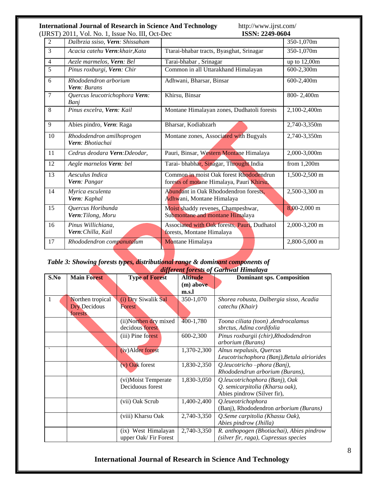#### **International Journal of Research in Science And Technology <http://www.ijrst.com/><br>(IIRST) 2011 Vol No 1 Issue No III Oct-Dec <b>ISSN: 2249-0604** (IJRST) 2011, Vol. No. 1, Issue No. III, Oct-Dec

|                | RST/2011, VOI.110. 1, 19900 110. 111, Oct Dee |                                                                                      |                |
|----------------|-----------------------------------------------|--------------------------------------------------------------------------------------|----------------|
| 2              | Dalbrzia ssiso, Vern: Shissaham               |                                                                                      | 350-1,070m     |
| 3              | Acacia catehu Vern: khair, Kata               | Ttarai-bhabar tracts, Byasghat, Srinagar                                             | 350-1,070m     |
| $\overline{4}$ | Aezle marmelos, Vern: Bel                     | Tarai-bhabar, Srinagar                                                               | up to $12,00m$ |
| $\overline{5}$ | Pinus roxburgi, Vern: Chir                    | Common in all Uttarakhand Himalayan                                                  | 600-2,300m     |
| 6              | Rhododendron arborium<br><b>Vern</b> : Burans | Adhwani, Bharsar, Binsar                                                             | 600-2,400m     |
| $\tau$         | Quercus leucotrichophora Vern:<br>Bani        | Khirsu, Binsar                                                                       | 800-2,400m     |
| 8              | Pinus excelra, Vern: Kail                     | Montane Himalayan zones, Dudhatoli forests                                           | 2,100-2,400m   |
| 9              | Abies pindro, Vern: Raga                      | Bharsar, Kodiabzarh                                                                  | 2,740-3,350m   |
| 10             | Rhododendron amilhoprogen<br>Vern: Bhotiachai | Montane zones, Associated with Bugyals                                               | 2,740-3,350m   |
| 11             | Cedrus deodara Vern: Ddeodar,                 | Pauri, Binsar, Western Montane Himalaya                                              | 2,000-3,000m   |
| 12             | Aegle marnelos Vern: bel                      | Tarai- bhabhar, Sinagar, Throught India                                              | from $1,200m$  |
| 13             | Aesculus Indica<br>Vern: Pangar               | Common in moist Oak forest Rhododendrun<br>forests of motane Himalaya, Pauri Khirsu, | 1,500-2,500 m  |
| 14             | Myrica esculenta<br>Vern: Kaphal              | Abundant in Oak Rhododendron forests,<br>Adhwani, Montane Himalaya                   | 2,500-3,300 m  |
| 15             | Quercus Horibunda<br>Vern: Tilong, Moru       | Moist shaddy revenes, Champeshwar,<br>Submontane and montane Himalaya                | $8,00-2,000$ m |
| 16             | Pinus Willichiana,<br>Vern: Chilla, Kail      | Associated with Oak forests, Pauri, Dudhatol<br>forests, Montane Himalaya            | 2,000-3,200 m  |
| 17             | Rhododendron companutalum                     | Montane Himalaya                                                                     | 2,800-5,000 m  |

#### *Table 3: Showing forests types, distributional range & dominant components of different forests of Garhwal Himalaya*

|                          | <u>uqjerën jorësis oj Surnmar Himalaya</u> |                       |                 |                                             |  |  |
|--------------------------|--------------------------------------------|-----------------------|-----------------|---------------------------------------------|--|--|
| S.No                     | <b>Main Forest</b>                         | <b>Type of Forest</b> | <b>Altitude</b> | <b>Dominant sps. Composition</b>            |  |  |
|                          |                                            |                       | (m) above       |                                             |  |  |
|                          |                                            |                       | m.s.l           |                                             |  |  |
| 1                        | Northen tropical                           | (i) Dry Siwalik Sal   | 350-1,070       | Shorea robusta, Dalbergia sisso, Acadia     |  |  |
|                          | <b>Dry Decidous</b>                        | Forest                |                 | catechu (Khair)                             |  |  |
|                          | forests                                    |                       |                 |                                             |  |  |
|                          |                                            | (ii)Northen dry mixed | 400-1,780       | Toona ciliata (toon), dendrocalamus         |  |  |
|                          |                                            | decidous forest       |                 | sbrctus, Adina cordifolia                   |  |  |
|                          |                                            | (iii) Pine forest     | 600-2,300       | Pinus roxburgii (chir), Rhododendron        |  |  |
|                          |                                            |                       |                 | arborium (Burans)                           |  |  |
| $\overline{\phantom{0}}$ |                                            | (iv) Alder forest     | 1,370-2,300     | Alnus nepalusis, Quercus                    |  |  |
|                          |                                            |                       |                 | Leucotrischophora (Banj), Betula alriorides |  |  |
|                          |                                            | (v) Oak forest        | 1,830-2,350     | Q.leucotricho -phora (Banj),                |  |  |
|                          |                                            |                       |                 | Rhododendrun arborium (Burans),             |  |  |
|                          |                                            | (vi)Moist Temperate   | 1,830-3,050     | Q.leucotrichophora (Banj), Oak              |  |  |
|                          |                                            | Deciduous forest      |                 | Q. semicarpitolia (Kharsu oak),             |  |  |
|                          |                                            |                       |                 | Abies pindrow (Silver fir),                 |  |  |
|                          |                                            | (vii) Oak Scrub       | 1,400-2,400     | Q.leueotrichophora                          |  |  |
|                          |                                            |                       |                 | (Banj), Rhododendron arborium (Burans)      |  |  |
|                          |                                            | (viii) Kharsu Oak     | 2,740-3,350     | Q.Seme carpitolia (Khassu Oak),             |  |  |
|                          |                                            |                       |                 | Abies pindrow (Jhilla)                      |  |  |
|                          |                                            | (ix) West Himalayan   | 2,740-3,350     | R. anthopogen (Bhotiachai), Abies pindrow   |  |  |
|                          |                                            | upper Oak/Fir Forest  |                 | (silver fir, raga), Cupressus species       |  |  |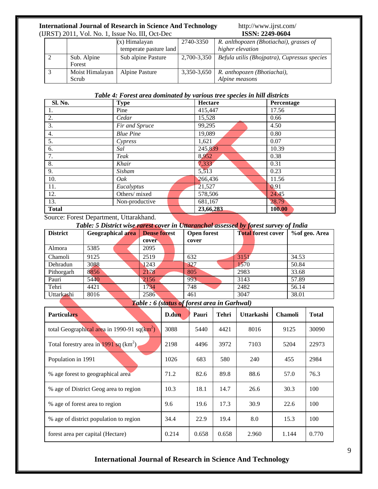#### **International Journal of Research in Science And Technology <http://www.ijrst.com/><br>(IJRST) 2011, Vol. No. 1, Issue No. III, Oct-Dec <b>ISSN: 2249-0604** (IJRST) 2011, Vol. No. 1, Issue No. III, Oct-Dec

| UNST) 2011, VOI. IVO. 1, ISSUE IVO. III, OCT-DEC |                          |                        | 10013. 4442-0004 |                                               |  |
|--------------------------------------------------|--------------------------|------------------------|------------------|-----------------------------------------------|--|
|                                                  |                          | $(x)$ Himalayan        | 2740-3350        | R. anlthopozen (Bhotiachai), grasses of       |  |
|                                                  |                          | temperate pasture land |                  | higher elevation                              |  |
|                                                  | Sub. Alpine<br>Forest    | Sub alpine Pasture     | 2,700-3,350      | Befula utilis (Bhojpatra), Cupressus species  |  |
|                                                  | Moist Himalayan<br>Scrub | Alpine Pasture         | 3,350-3,650      | R. anthopozen (Bhotiachai),<br>Alpine measons |  |

#### *Table 4: Forest area dominated by various tree species in hill districts*

| Sl. No.                                      | <b>Type</b>                                | Hectare   | Percentage |
|----------------------------------------------|--------------------------------------------|-----------|------------|
| 1.                                           | Pine                                       | 415,447   | 17.56      |
| $\overline{2}$ .                             | Cedar                                      | 15,528    | 0.66       |
| $\overline{3}$ .                             | Fir and Spruce                             | 99,295    | 4.50       |
| $\overline{4}$ .                             | <b>Blue Pine</b>                           | 19,089    | 0.80       |
| $\overline{5}$ .                             | Cypress                                    | 1,621     | 0.07       |
| $\overline{6}$ .                             | Sal                                        | 245,839   | 10.39      |
| 7.                                           | Teak                                       | 8,952     | 0.38       |
| 8.                                           | Khair                                      | 7,333     | 0.31       |
| 9.                                           | Sisham                                     | 5,513     | 0.23       |
| 10.                                          | Oak                                        | 266,436   | 11.56      |
| 11.                                          | Eucalyptus                                 | 21,527    | 0.91       |
| 12.                                          | Others/mixed                               | 578,506   | 24.45      |
| $\overline{13}$ .                            | Non-productive                             | 681,167   | 28.79      |
| <b>Total</b>                                 |                                            | 23,66,283 | 100.00     |
| $\sim$<br>$\overline{\phantom{0}}$<br>$\sim$ | $\mathbf{v}$ , and the set of $\mathbf{v}$ |           |            |

Source: Forest Department, Uttarakhand.

*Table: 5 District wise rarest cover in Uttaranchal assessed by forest survey of India*

| <b>District</b> | <b>Geographical area</b> | <b>Dense forest</b> | <b>Open forest</b> | <b>Total forest cover</b> | % of geo. Area |
|-----------------|--------------------------|---------------------|--------------------|---------------------------|----------------|
|                 |                          | cover               | cover              |                           |                |
| Almora          | 5385                     | 2095                |                    |                           |                |
| Chamoli         | 9125                     | 2519                | 632                | 3151                      | 34.53          |
| Dehradun        | 3088                     | 1243                | 327                | 1570                      | 50.84          |
| Pithorgarh      | 8856                     | 2178                | 805                | 2983                      | 33.68          |
| Pauri           | 5440                     | 2156                | 993                | 3143                      | 57.89          |
| Tehri           | 4421                     | 1734                | 748                | 2482                      | 56.14          |
| Uttarkashi      | 8016                     | 2586                | 461                | 3047                      | 38.01          |

*Table : 6 (status of forest area in Garhwal)*

| <b>Particulars</b>                              | D.dun | Pauri | Tehri | <b>Uttarkashi</b> | <b>Chamoli</b> | <b>Total</b> |
|-------------------------------------------------|-------|-------|-------|-------------------|----------------|--------------|
| total Geographical area in 1990-91 sq( $km^2$ ) | 3088  | 5440  | 4421  | 8016              | 9125           | 30090        |
| Total forestry area in 1991 sq $(km^2)$         | 2198  | 4496  | 3972  | 7103              | 5204           | 22973        |
| Population in 1991                              | 1026  | 683   | 580   | 240               | 455            | 2984         |
| % age forest to geographical area               | 71.2  | 82.6  | 89.8  | 88.6              | 57.0           | 76.3         |
| % age of District Geog area to region           | 10.3  | 18.1  | 14.7  | 26.6              | 30.3           | 100          |
| % age of forest area to region                  | 9.6   | 19.6  | 17.3  | 30.9              | 22.6           | 100          |
| % age of district population to region          | 34.4  | 22.9  | 19.4  | 8.0               | 15.3           | 100          |
| forest area per capital (Hectare)               | 0.214 | 0.658 | 0.658 | 2.960             | 1.144          | 0.770        |